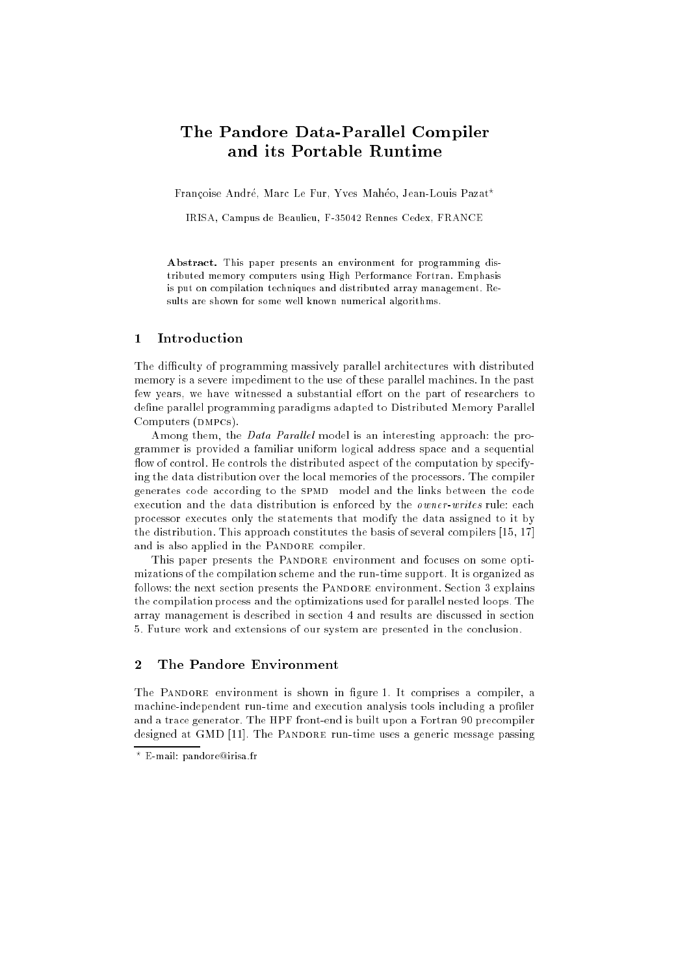# The Pandore Data-Parallel Compiler and its Portable Runtime

Françoise André, Marc Le Fur, Yves Mahéo, Jean-Louis Pazat\*

IRISA, Campus de Beaulieu, F-35042 Rennes Cedex, FRANCE

Abstract. This paper presents an environment for programming distributed memory computers using High Performance Fortran. Emphasis is put on compilation techniques and distributed array management. Results are shown for some well known numerical algorithms.

#### **Introduction**  $\mathbf{1}$

The difficulty of programming massively parallel architectures with distributed memory is a severe impediment to the use of these parallel machines. In the past few years, we have witnessed a substantial effort on the part of researchers to define parallel programming paradigms adapted to Distributed Memory Parallel Computers (DMPCs).

Among them, the *Data Parallel* model is an interesting approach: the programmer is provided a familiar uniform logical address space and a sequential flow of control. He controls the distributed aspect of the computation by specifying the data distribution over the local memories of the processors. The compiler generates code according to the spmd model and the links between the code execution and the data distribution is enforced by the owner-writes rule: each processor executes only the statements that modify the data assigned to it by the distribution. This approach constitutes the basis of several compilers [15, 17] and is also applied in the PANDORE compiler.

This paper presents the PANDORE environment and focuses on some optimizations of the compilation scheme and the run-time support. It is organized as follows: the next section presents the PANDORE environment. Section 3 explains the compilation process and the optimizations used for parallel nested loops. The array management is described in section 4 and results are discussed in section 5. Future work and extensions of our system are presented in the conclusion.

#### 2 The Pandore Environment

The PANDORE environment is shown in figure 1. It comprises a compiler, a machine-independent run-time and execution analysis tools including a profiler and a trace generator. The HPF front-end is built upon a Fortran 90 precompiler designed at GMD [11]. The PANDORE run-time uses a generic message passing

<sup>?</sup> E-mail: pandore@irisa.fr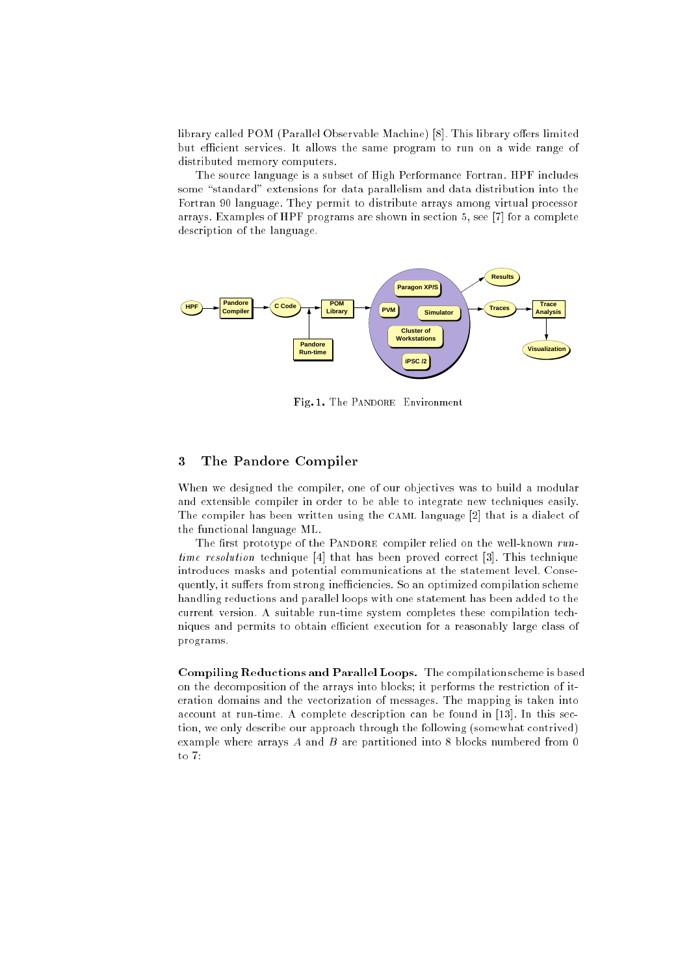library called POM (Parallel Observable Machine) [8]. This library offers limited but efficient services. It allows the same program to run on a wide range of distributed memory computers.

The source language is a subset of High Performance Fortran. HPF includes some "standard" extensions for data parallelism and data distribution into the Fortran 90 language. They permit to distribute arrays among virtual processor arrays. Examples of HPF programs are shown in section 5, see [7] for a complete description of the language.



Fig. 1. The PANDORE Environment

# 3 The Pandore Compiler

When we designed the compiler, one of our objectives was to build a modular and extensible compiler in order to be able to integrate new techniques easily. The compiler has been written using the CAML language [2] that is a dialect of the functional language ML.

The first prototype of the PANDORE compiler relied on the well-known  $run$ time resolution technique [4] that has been proved correct [3]. This technique introduces masks and potential communications at the statement level. Consequently, it suffers from strong inefficiencies. So an optimized compilation scheme handling reductions and parallel loops with one statement has been added to the current version. A suitable run-time system completes these compilation techniques and permits to obtain efficient execution for a reasonably large class of programs.

Compiling Reductions and Parallel Loops. The compilation scheme is based on the decomposition of the arrays into blocks; it performs the restriction of iteration domains and the vectorization of messages. The mapping is taken into account at run-time. A complete description can be found in [13]. In this section, we only describe our approach through the following (somewhat contrived) example where arrays A and B are partitioned into 8 blocks numbered from 0 to 7: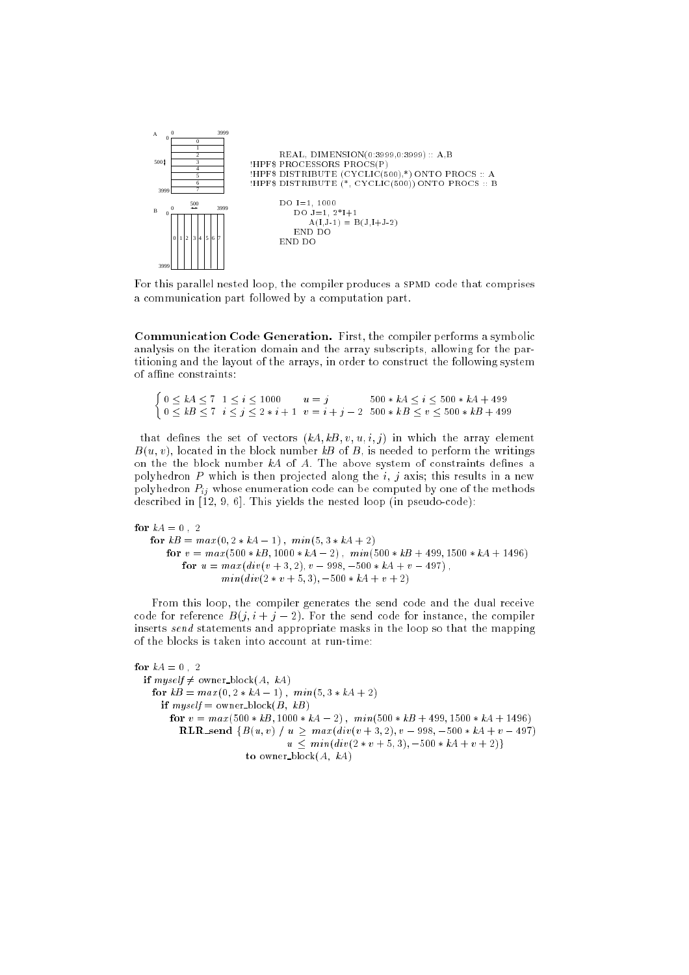

For this parallel nested loop, the compiler produces a SPMD code that comprises a communication part followed by a computation part.

Communication Code Generation. First, the compiler performs a symbolic analysis on the iteration domain and the array subscripts, allowing for the partitioning and the layout of the arrays, in order to construct the following system of affine constraints:

 $\int 0 \leq kA \leq 7$   $1 \leq i \leq 1000$   $u = j$   $500 * kA \leq i \leq 500 * kA + 499$  $0 \leq k \leq 7$   $i \leq j \leq 2 * i + 1$   $v = i + j - 2$   $500 * k \leq v \leq 500 * k \leq 499$ 

that defines the set of vectors  $(kA, kB, v, u, i, j)$  in which the array element  $B(u, v)$ , located in the block number kB of B, is needed to perform the writings on the the block number  $kA$  of A. The above system of constraints defines a polyhedron P which is then projected along the  $i, j$  axis; this results in a new polyhedron  $P_{ii}$  whose enumeration code can be computed by one of the methods described in  $[12, 9, 6]$ . This yields the nested loop (in pseudo-code):

for  $kA = 0$ , 2 for  $kB = max(0, 2 * kA - 1)$ ,  $min(5, 3 * kA + 2)$ for  $v = max(500 * kB, 1000 * kA - 2)$  ,  $\ min(500 * kB + 499, 1500 * kA + 1496)$ for  $u = max(di v (v + 3, 2), v - 998, -500 * kA + v - 497)$ ,  $min(div(2 * v + 5, 3), -500 * kA + v + 2)$ 

From this loop, the compiler generates the send code and the dual receive code for reference  $B(j, i + j - 2)$ . For the send code for instance, the compiler inserts send statements and appropriate masks in the loop so that the mapping of the blocks is taken into account at run-time:

```
for kA = 0. 2
if myself \neq owner block(A, kA)
  for kB = max(0, 2 * kA - 1), min(5, 3 * kA + 2)if myself = owner_block(B, kB)
      for v = max(500 * kB, 1000 * kA - 2), min(500 * kB + 499, 1500 * kA + 1496)RLR send \{B(u, v) \mid u \geq max(div(v + 3, 2), v - 998, -500 * kA + v - 497)u \leq min(div(2 * v + 5, 3), -500 * kA + v + 2)to owner block(A, kA)
```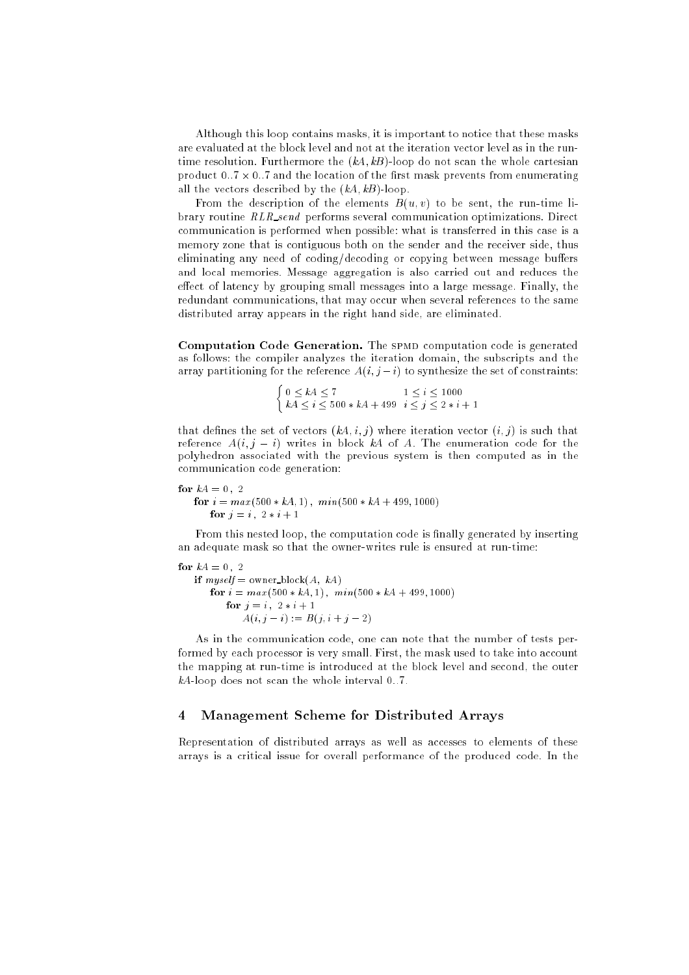Although this loop contains masks, it is important to notice that these masks are evaluated at the block level and not at the iteration vector level as in the runtime resolution. Furthermore the  $(kA, kB)$ -loop do not scan the whole cartesian product only a state which also to search of and three theory is a state from environments. all the vectors described by the  $(kA, kB)$ -loop.

From the description of the elements  $B(u, v)$  to be sent, the run-time library routine RLR send performs several communication optimizations. Direct communication is performed when possible: what is transferred in this case is a memory zone that is contiguous both on the sender and the receiver side, thus eliminating any need of coding/decoding or copying between message buffers and local memories. Message aggregation is also carried out and reduces the effect of latency by grouping small messages into a large message. Finally, the redundant communications, that may occur when several references to the same distributed array appears in the right hand side, are eliminated.

Computation Code Generation. The spmd computation code is generated as follows: the compiler analyzes the iteration domain, the subscripts and the array partitioning for the reference  $A(i, j - i)$  to synthesize the set of constraints:

$$
\begin{cases} 0 \le kA \le 7 & 1 \le i \le 1000 \\ kA \le i \le 500 * kA + 499 & i \le j \le 2 * i + 1 \end{cases}
$$

that defines the set of vectors  $(kA, i, j)$  where iteration vector  $(i, j)$  is such that reference  $A(i, j - i)$  writes in block kA of A. The enumeration code for the polyhedron associated with the previous system is then computed as in the communication code generation:

for  $kA = 0$ , 2 for  $i = max(500 * kA, 1)$ ,  $min(500 * kA + 499, 1000)$ for  $j = i$ ,  $2 * i + 1$ 

From this nested loop, the computation code is finally generated by inserting an adequate mask so that the owner-writes rule is ensured at run-time:

for  $kA = 0.2$ if  $myself = owner\_block(A, kA)$ for  $i = max(500 * kA, 1)$ ,  $min(500 * kA + 499, 1000)$ for  $j = i, 2 * i + 1$  $A(i, j - i) := B(j, i + j - 2)$ 

As in the communication code, one can note that the number of tests performed by each processor is very small. First, the mask used to take into account the mapping at run-time is introduced at the block level and second, the outer  $kA$ -loop does not scan the whole interval 0..7.

## 4 Management Scheme for Distributed Arrays

Representation of distributed arrays as well as accesses to elements of these arrays is a critical issue for overall performance of the produced code. In the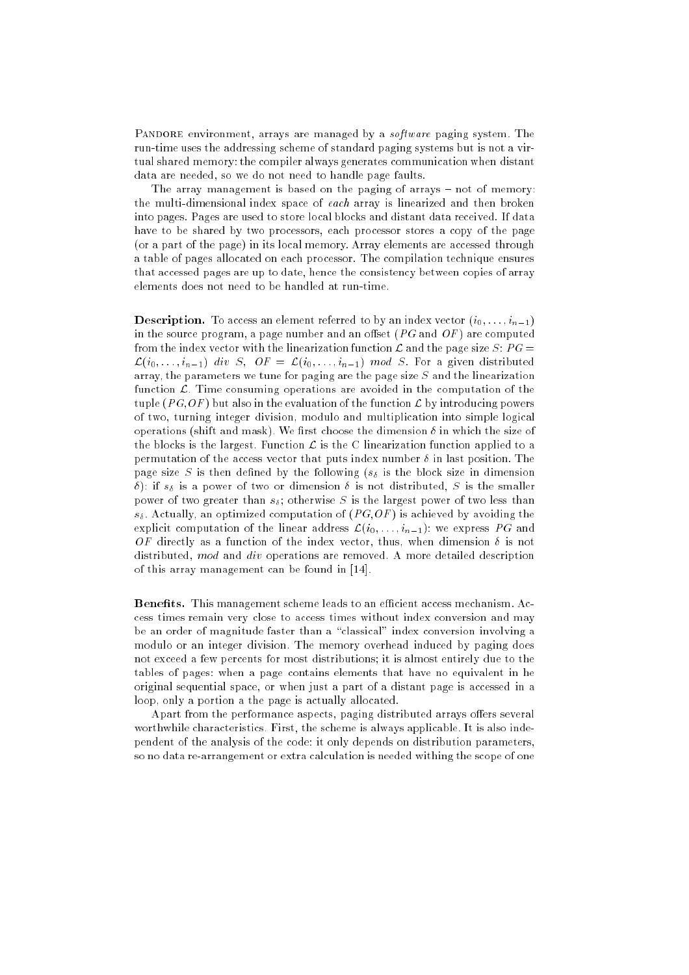PANDORE environment, arrays are managed by a *software* paging system. The run-time uses the addressing scheme of standard paging systems but is not a virtual shared memory: the compiler always generates communication when distant data are needed, so we do not need to handle page faults.

The array management is based on the paging of arrays - not of memory: the multi-dimensional index space of each array is linearized and then broken into pages. Pages are used to store local blocks and distant data received. If data have to be shared by two processors, each processor stores a copy of the page (or a part of the page) in its local memory. Array elements are accessed through a table of pages allocated on each processor. The compilation technique ensures that accessed pages are up to date, hence the consistency between copies of array elements does not need to be handled at run-time.

**Description.** To access an element referred to by an index vector  $(i_0, \ldots, i_{n-1})$ in the source program, a page number and an offset  $(PG \text{ and } OF)$  are computed from the index vector with the linearization function  $\mathcal L$  and the page size S:  $PG =$  $\mathcal{L}(i_0, \ldots, i_{n-1})$  div S,  $OF = \mathcal{L}(i_0, \ldots, i_{n-1})$  mod S. For a given distributed array, the parameters we tune for paging are the page size  $S$  and the linearization function  $\mathcal{L}$ . Time consuming operations are avoided in the computation of the tuple (PG, OF) but also in the evaluation of the function  $\mathcal L$  by introducing powers of two, turning integer division, modulo and multiplication into simple logical operations (shift and mask). We first choose the dimension  $\delta$  in which the size of the blocks is the largest. Function  $\mathcal L$  is the C linearization function applied to a permutation of the access vector that puts index number  $\delta$  in last position. The page size S is then defined by the following  $(s_{\delta})$  is the block size in dimension  $\delta$ ): if  $s_{\delta}$  is a power of two or dimension  $\delta$  is not distributed, S is the smaller power of two greater than  $s_{\delta}$ ; otherwise S is the largest power of two less than  $s_{\delta}$ . Actually, an optimized computation of  $(PG,OF)$  is achieved by avoiding the explicit computation of the linear address  $\mathcal{L}(i_0, \ldots, i_{n-1})$ : we express PG and OF directly as a function of the index vector, thus, when dimension  $\delta$  is not distributed, mod and div operations are removed. A more detailed description of this array management can be found in [14].

Benets. This management scheme leads to an ecient access mechanism. Access times remain very close to access times without index conversion and may be an order of magnitude faster than a "classical" index conversion involving a modulo or an integer division. The memory overhead induced by paging does not exceed a few percents for most distributions; it is almost entirely due to the tables of pages: when a page contains elements that have no equivalent in he original sequential space, or when just a part of a distant page is accessed in a loop, only a portion a the page is actually allocated.

Apart from the performance aspects, paging distributed arrays offers several worthwhile characteristics. First, the scheme is always applicable. It is also independent of the analysis of the code: it only depends on distribution parameters, so no data re-arrangement or extra calculation is needed withing the scope of one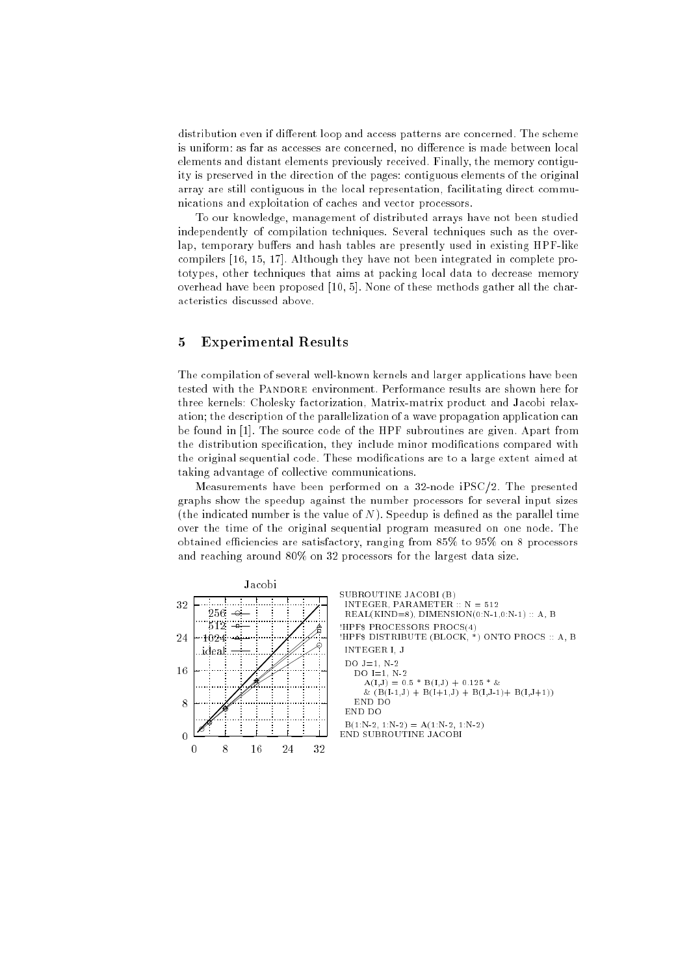distribution even if different loop and access patterns are concerned. The scheme is uniform: as far as accesses are concerned, no difference is made between local elements and distant elements previously received. Finally, the memory contiguity is preserved in the direction of the pages: contiguous elements of the original array are still contiguous in the local representation, facilitating direct communications and exploitation of caches and vector processors.

To our knowledge, management of distributed arrays have not been studied independently of compilation techniques. Several techniques such as the overlap, temporary buffers and hash tables are presently used in existing HPF-like compilers [16, 15, 17]. Although they have not been integrated in complete prototypes, other techniques that aims at packing local data to decrease memory overhead have been proposed [10, 5]. None of these methods gather all the characteristics discussed above.

### 5 Experimental Results

The compilation of several well-known kernels and larger applications have been tested with the PANDORE environment. Performance results are shown here for three kernels: Cholesky factorization, Matrix-matrix product and Jacobi relaxation; the description of the parallelization of a wave propagation application can be found in [1]. The source code of the HPF subroutines are given. Apart from the distribution specification, they include minor modifications compared with the original sequential code. These modications are to a large extent aimed at taking advantage of collective communications.

Measurements have been performed on a 32-node iPSC/2. The presented graphs show the speedup against the number processors for several input sizes (the indicated number is the value of  $N$ ). Speedup is defined as the parallel time over the time of the original sequential program measured on one node. The obtained efficiencies are satisfactory, ranging from 85% to 95% on 8 processors and reaching around 80% on 32 processors for the largest data size.

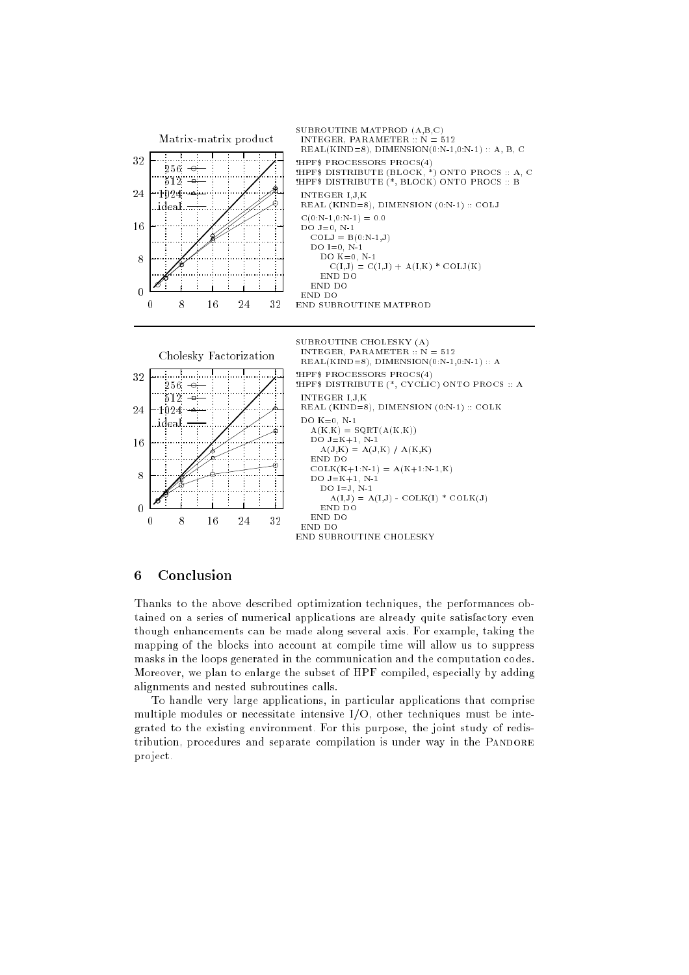

END SUBROUTINE CHOLESKY

### 6 Conclusion

Thanks to the above described optimization techniques, the performances obtained on a series of numerical applications are already quite satisfactory even though enhancements can be made along several axis. For example, taking the mapping of the blocks into account at compile time will allow us to suppress masks in the loops generated in the communication and the computation codes. Moreover, we plan to enlarge the subset of HPF compiled, especially by adding alignments and nested subroutines calls.

To handle very large applications, in particular applications that comprise multiple modules or necessitate intensive I/O, other techniques must be integrated to the existing environment. For this purpose, the joint study of redistribution, procedures and separate compilation is under way in the PANDORE project.